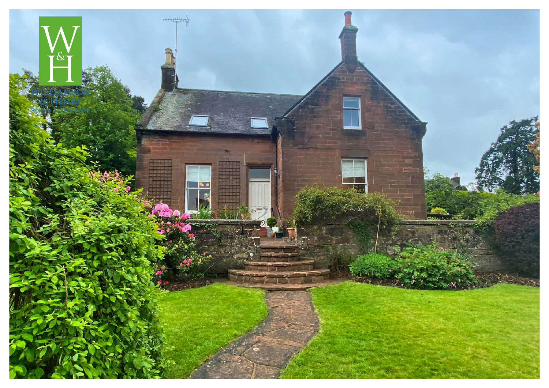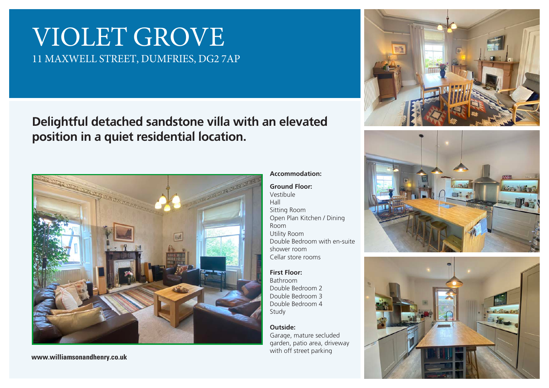# VIOLET GROVE 11 MAXWELL STREET, DUMFRIES, DG2 7AP

## Delightful detached sandstone villa with an elevated position in a quiet residential location.



**www.williamsonandhenry.co.uk**

## Accommodation:

Ground Floor: Vestibule Hall Sitting Room Open Plan Kitchen / Dining Room Utility Room Double Bedroom with en-suite shower room Cellar store rooms

First Floor: Bathroom Double Bedroom 2 Double Bedroom 3 Double Bedroom 4 Study

#### Outside:

Garage, mature secluded garden, patio area, driveway with off street parking





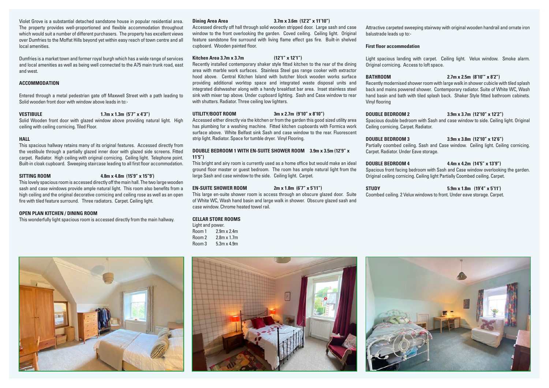Violet Grove is a substantial detached sandstone house in popular residential area. The property provides well-proportioned and flexible accommodation throughout which would suit a number of different purchasers. The property has excellent views over Dumfries to the Moffat Hills beyond yet within easy reach of town centre and all local amenities.

Dumfries is a market town and former royal burgh which has a wide range of services and local amenities as well as being well connected to the A75 main trunk road, east and west.

#### **ACCOMMODATION**

Entered through a metal pedestrian gate off Maxwell Street with a path leading to Solid wooden front door with window above leads in to:-

#### **VESTIBULE 1.7m x 1.3m (5'7" x 4'3")**

Solid Wooden front door with glazed window above providing natural light. High ceiling with ceiling cornicing. Tiled Floor.

#### **HALL**

This spacious hallway retains many of its original features. Accessed directly from the vestibule through a partially glazed inner door with glazed side screens. Fitted carpet. Radiator. High ceiling with original cornicing. Ceiling light. Telephone point. Built-in cloak cupboard. Sweeping staircase leading to all first floor accommodation.

**SITTING ROOM 4.8m x 4.8m (15'9" x 15"9')**

This lovely spacious room is accessed directly off the main hall. The two large wooden sash and case windows provide ample natural light. This room also benefits from a high ceiling and the original decorative cornicing and ceiling rose as well as an open fire with tiled feature surround. Three radiators. Carpet. Ceiling light.

#### **OPEN PLAN KITCHEN / DINING ROOM**

This wonderfully light spacious room is accessed directly from the main hallway.

Accessed directly off hall through solid wooden stripped door. Large sash and case window to the front overlooking the garden. Coved ceiling. Ceiling light. Original feature sandstone fire surround with living flame effect gas fire. Built-in shelved cupboard. Wooden painted floor.

#### **Kitchen Area 3.7m x 3.7m (12'1" x 12'1")**

Recently installed contemporary shaker style fitted kitchen to the rear of the dining area with marble work surfaces. Stainless Steel gas range cooker with extractor hood above. Central Kitchen Island with butcher block wooden works surface providing additional worktop space and integrated waste disposal units and integrated dishwasher along with a handy breakfast bar area. Inset stainless steel sink with mixer tap above. Under cupboard lighting. Sash and Case window to rear with shutters. Radiator. Three ceiling low lighters.

#### **UTILITY/BOOT ROOM 3m x 2.7m (9'10" x 8'10")**

Accessed either directly via the kitchen or from the garden this good sized utility area has plumbing for a washing machine. Fitted kitchen cupboards with Formica work surface above. White Belfast sink Sash and case window to the rear. Fluorescent strip light. Radiator. Space for tumble dryer. Vinyl Flooring.

#### **DOUBLE BEDROOM 1 WITH EN-SUITE SHOWER ROOM 3.9m x 3.5m (12'9" x 11'5")**

This bright and airy room is currently used as a home office but would make an ideal ground floor master or guest bedroom. The room has ample natural light from the large Sash and case window to the side. Ceiling light. Carpet.

#### **EN-SUITE SHOWER ROOM 2m x 1.8m (6'7" x 5'11")**

This large en-suite shower room is access through an obscure glazed door. Suite of White WC, Wash hand basin and large walk in shower. Obscure glazed sash and case window. Chrome heated towel rail.

#### **CELLAR STORE ROOMS**

Light and power. Room 1 2.9m x 2.4m Room 2 2.8m x 1.7m

Room 3 5.3m x 4.9m

#### **Dining Area Area 3.7m x 3.6m (12'2" x 11'10")**

Attractive carpeted sweeping stairway with original wooden handrail and ornate iron balustrade leads up to:-

#### **First floor accommodation**

Light spacious landing with carpet. Ceiling light. Velux window. Smoke alarm. Original cornicing. Access to loft space.

#### **BATHROOM 2.7m x 2.5m (8'10'" x 8'2")**

Recently modernised shower room with large walk in shower cubicle with tiled splash back and mains powered shower. Contemporary radiator. Suite of White WC, Wash hand basin and bath with tiled splash back. Shaker Style fitted bathroom cabinets. Vinyl flooring

#### **DOUBLE BEDROOM 2 3.9m x 3.7m (12'10" x 12'2")**

Spacious double bedroom with Sash and case window to side. Ceiling light. Original Ceiling cornicing. Carpet. Radiator.

#### **DOUBLE BEDROOM 3 3.9m x 3.8m (12'10" x 12'6")**

Partially coombed ceiling. Sash and Case window. Ceiling light. Ceiling cornicing. Carpet. Radiator. Under Eave storage.

#### **DOUBLE BEDROOM 4 4.4m x 4.2m (14'5" x 13'9")**

Spacious front facing bedroom with Sash and Case window overlooking the garden. Original ceiling cornicing. Ceiling light Partially Coombed ceiling. Carpet.

| <b>STUDY</b>                                                           | $5.9$ m x 1.8m $(19'4'' \times 5'11')$ |
|------------------------------------------------------------------------|----------------------------------------|
| Coombed ceiling. 2 Velux windows to front. Under eave storage. Carpet. |                                        |